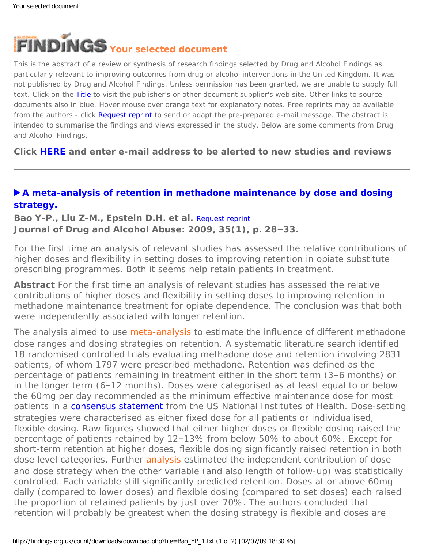<span id="page-0-0"></span>

This is the abstract of a review or synthesis of research findings selected by Drug and Alcohol Findings as particularly relevant to improving outcomes from drug or alcohol interventions in the United Kingdom. It was not published by Drug and Alcohol Findings. Unless permission has been granted, we are unable to supply full text. Click on the Title to visit the publisher's or other document supplier's web site. Other links to source documents also in blue. Hover mouse over orange text for explanatory notes. Free reprints may be available from the authors - click Request reprint to send or adapt the pre-prepared e-mail message. The abstract is intended to summarise the findings and views expressed in the study. Below are some comments from Drug and Alcohol Findings.

**Click [HERE](https://findings.org.uk/index.php#signUp) and enter e-mail address to be alerted to new studies and reviews**

## **[A meta-analysis of retention in methadone maintenance by dose and dosing](http://dx.doi.org/10.1080/00952990802342899) [strategy.](http://dx.doi.org/10.1080/00952990802342899)**

**Bao Y-P., Liu Z-M., Epstein D.H. et al.** [Request reprint](mailto:linlu@bjmu.edu.cn?Subject=Reprint%20request&body=Dear Dr Lu%0A%0AOn the Drug and Alcohol Findings web site (https://findings.org.uk) I read about your article:%0ABao Y-P., Liu Z-M., Epstein D.H. et al. A meta-analysis of retention in methadone maintenance by dose and dosing strategy. Journal of Drug and Alcohol Abuse: 2009, 35(1), p. 28-33.%0A%0AWould it be possible to for me to be sent a PDF reprint or the manuscript by return e-mail?%0A) **Journal of Drug and Alcohol Abuse: 2009, 35(1), p. 28–33.**

For the first time an analysis of relevant studies has assessed the relative contributions of higher doses and flexibility in setting doses to improving retention in opiate substitute prescribing programmes. Both it seems help retain patients in treatment.

**Abstract** For the first time an analysis of relevant studies has assessed the relative contributions of higher doses and flexibility in setting doses to improving retention in methadone maintenance treatment for opiate dependence. The conclusion was that both were independently associated with longer retention.

The analysis aimed to use [meta-analysis](#page-0-0) to estimate the influence of different methadone dose ranges and dosing strategies on retention. A systematic literature search identified 18 randomised controlled trials evaluating methadone dose and retention involving 2831 patients, of whom 1797 were prescribed methadone. Retention was defined as the percentage of patients remaining in treatment either in the short term (3–6 months) or in the longer term (6–12 months). Doses were categorised as at least equal to or below the 60mg per day recommended as the minimum effective maintenance dose for most patients in a [consensus statement](http://dx.doi.org/10.1001/jama.280.22.1936) from the US National Institutes of Health. Dose-setting strategies were characterised as either fixed dose for all patients or individualised, flexible dosing. Raw figures showed that either higher doses or flexible dosing raised the percentage of patients retained by 12–13% from below 50% to about 60%. Except for short-term retention at higher doses, flexible dosing significantly raised retention in both dose level categories. Further [analysis](#page-0-0) estimated the independent contribution of dose and dose strategy when the other variable (and also length of follow-up) was statistically controlled. Each variable still significantly predicted retention. Doses at or above 60mg daily (compared to lower doses) and flexible dosing (compared to set doses) each raised the proportion of retained patients by just over 70%. The authors concluded that retention will probably be greatest when the dosing strategy is flexible and doses are